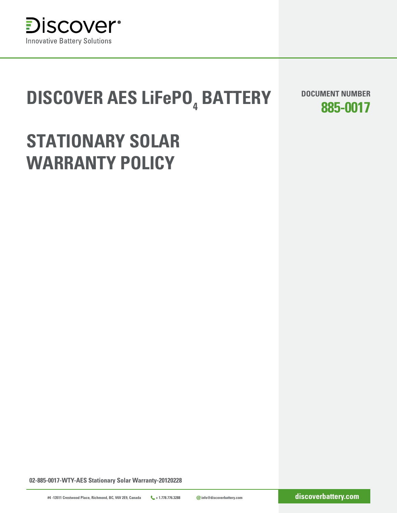

# **DISCOVER AES LiFePO<sup>4</sup> BATTERY**

**DOCUMENT NUMBER 885-0017**

# **STATIONARY SOLAR WARRANTY POLICY**

**02-885-0017-WTY-AES Stationary Solar Warranty-20120228**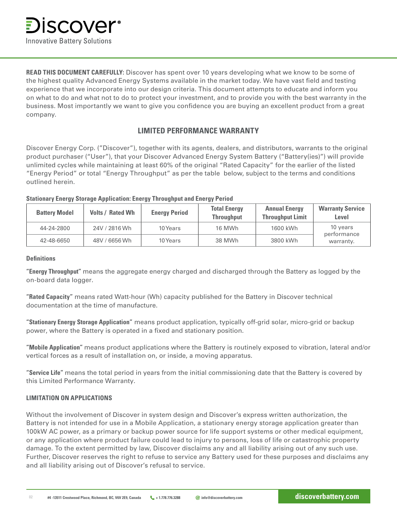**READ THIS DOCUMENT CAREFULLY:** Discover has spent over 10 years developing what we know to be some of the highest quality Advanced Energy Systems available in the market today. We have vast field and testing experience that we incorporate into our design criteria. This document attempts to educate and inform you on what to do and what not to do to protect your investment, and to provide you with the best warranty in the business. Most importantly we want to give you confidence you are buying an excellent product from a great company.

## **LIMITED PERFORMANCE WARRANTY**

Discover Energy Corp. ("Discover"), together with its agents, dealers, and distributors, warrants to the original product purchaser ("User"), that your Discover Advanced Energy System Battery ("Battery(ies)") will provide unlimited cycles while maintaining at least 60% of the original "Rated Capacity" for the earlier of the listed "Energy Period" or total "Energy Throughput" as per the table below, subject to the terms and conditions outlined herein.

#### **Stationary Energy Storage Application: Energy Throughput and Energy Period**

| <b>Battery Model</b> | <b>Volts / Rated Wh</b> | <b>Energy Period</b> | <b>Total Energy</b><br><b>Throughput</b> | <b>Annual Energy</b><br><b>Throughput Limit</b> | <b>Warranty Service</b><br>Level     |
|----------------------|-------------------------|----------------------|------------------------------------------|-------------------------------------------------|--------------------------------------|
| 44-24-2800           | 24V / 2816 Wh           | 10 Years             | 16 MWh                                   | 1600 kWh                                        | 10 years<br>performance<br>warranty. |
| 42-48-6650           | 48V / 6656 Wh           | 10 Years             | 38 MWh                                   | 3800 kWh                                        |                                      |

#### **Definitions**

**"Energy Throughput"** means the aggregate energy charged and discharged through the Battery as logged by the on-board data logger.

**"Rated Capacity"** means rated Watt-hour (Wh) capacity published for the Battery in Discover technical documentation at the time of manufacture.

**"Stationary Energy Storage Application"** means product application, typically off-grid solar, micro-grid or backup power, where the Battery is operated in a fixed and stationary position.

**"Mobile Application"** means product applications where the Battery is routinely exposed to vibration, lateral and/or vertical forces as a result of installation on, or inside, a moving apparatus.

**"Service Life"** means the total period in years from the initial commissioning date that the Battery is covered by this Limited Performance Warranty.

#### **LIMITATION ON APPLICATIONS**

Without the involvement of Discover in system design and Discover's express written authorization, the Battery is not intended for use in a Mobile Application, a stationary energy storage application greater than 100kW AC power, as a primary or backup power source for life support systems or other medical equipment, or any application where product failure could lead to injury to persons, loss of life or catastrophic property damage. To the extent permitted by law, Discover disclaims any and all liability arising out of any such use. Further, Discover reserves the right to refuse to service any Battery used for these purposes and disclaims any and all liability arising out of Discover's refusal to service.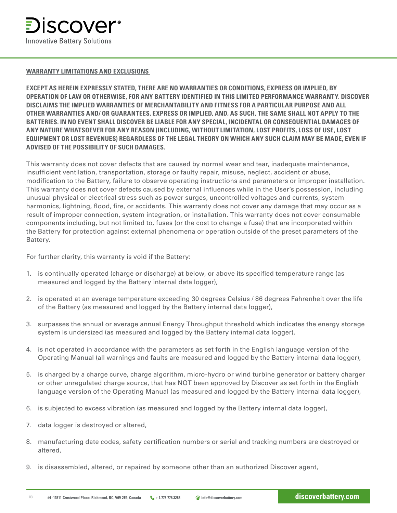#### **WARRANTY LIMITATIONS AND EXCLUSIONS**

**EXCEPT AS HEREIN EXPRESSLY STATED, THERE ARE NO WARRANTIES OR CONDITIONS, EXPRESS OR IMPLIED, BY OPERATION OF LAW OR OTHERWISE, FOR ANY BATTERY IDENTIFIED IN THIS LIMITED PERFORMANCE WARRANTY. DISCOVER DISCLAIMS THE IMPLIED WARRANTIES OF MERCHANTABILITY AND FITNESS FOR A PARTICULAR PURPOSE AND ALL OTHER WARRANTIES AND/ OR GUARANTEES, EXPRESS OR IMPLIED, AND, AS SUCH, THE SAME SHALL NOT APPLY TO THE BATTERIES. IN NO EVENT SHALL DISCOVER BE LIABLE FOR ANY SPECIAL, INCIDENTAL OR CONSEQUENTIAL DAMAGES OF ANY NATURE WHATSOEVER FOR ANY REASON (INCLUDING, WITHOUT LIMITATION, LOST PROFITS, LOSS OF USE, LOST EQUIPMENT OR LOST REVENUES) REGARDLESS OF THE LEGAL THEORY ON WHICH ANY SUCH CLAIM MAY BE MADE, EVEN IF ADVISED OF THE POSSIBILITY OF SUCH DAMAGES.** 

This warranty does not cover defects that are caused by normal wear and tear, inadequate maintenance, insufficient ventilation, transportation, storage or faulty repair, misuse, neglect, accident or abuse, modification to the Battery, failure to observe operating instructions and parameters or improper installation. This warranty does not cover defects caused by external influences while in the User's possession, including unusual physical or electrical stress such as power surges, uncontrolled voltages and currents, system harmonics, lightning, flood, fire, or accidents. This warranty does not cover any damage that may occur as a result of improper connection, system integration, or installation. This warranty does not cover consumable components including, but not limited to, fuses (or the cost to change a fuse) that are incorporated within the Battery for protection against external phenomena or operation outside of the preset parameters of the Battery.

For further clarity, this warranty is void if the Battery:

- 1. is continually operated (charge or discharge) at below, or above its specified temperature range (as measured and logged by the Battery internal data logger),
- 2. is operated at an average temperature exceeding 30 degrees Celsius / 86 degrees Fahrenheit over the life of the Battery (as measured and logged by the Battery internal data logger),
- 3. surpasses the annual or average annual Energy Throughput threshold which indicates the energy storage system is undersized (as measured and logged by the Battery internal data logger),
- 4. is not operated in accordance with the parameters as set forth in the English language version of the Operating Manual (all warnings and faults are measured and logged by the Battery internal data logger),
- 5. is charged by a charge curve, charge algorithm, micro-hydro or wind turbine generator or battery charger or other unregulated charge source, that has NOT been approved by Discover as set forth in the English language version of the Operating Manual (as measured and logged by the Battery internal data logger),
- 6. is subjected to excess vibration (as measured and logged by the Battery internal data logger),
- 7. data logger is destroyed or altered,
- 8. manufacturing date codes, safety certification numbers or serial and tracking numbers are destroyed or altered,
- 9. is disassembled, altered, or repaired by someone other than an authorized Discover agent,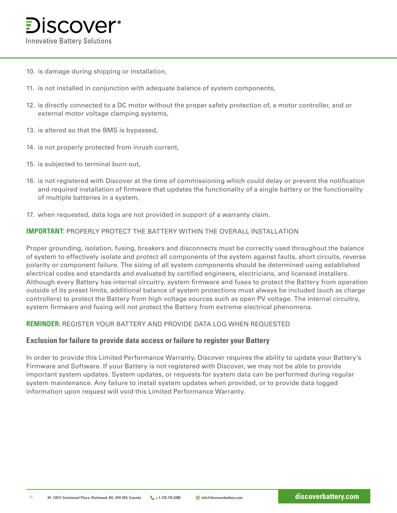- 10. is damage during shipping or installation,
- 11. is not installed in conjunction with adequate balance of system components,
- 12. is directly connected to a DC motor without the proper safety protection of, a motor controller, and or external motor voltage clamping systems,
- 13. is altered so that the BMS is bypassed,
- 14. is not properly protected from inrush current,
- 15. is subjected to terminal burn out,
- 16. is not registered with Discover at the time of commissioning which could delay or prevent the notification and required installation of firmware that updates the functionality of a single battery or the functionality of multiple batteries in a system,
- 17. when requested, data logs are not provided in support of a warranty claim.

#### **IMPORTANT:** PROPERLY PROTECT THE BATTERY WITHIN THE OVERALL INSTALLATION

Proper grounding, isolation, fusing, breakers and disconnects must be correctly used throughout the balance of system to effectively isolate and protect all components of the system against faults, short circuits, reverse polarity or component failure. The sizing of all system components should be determined using established electrical codes and standards and evaluated by certified engineers, electricians, and licensed installers. Although every Battery has internal circuitry, system firmware and fuses to protect the Battery from operation outside of its preset limits, additional balance of system protections must always be included (such as charge controllers) to protect the Battery from high voltage sources such as open PV voltage. The internal circuitry, system firmware and fusing will not protect the Battery from extreme electrical phenomena.

#### **REMINDER:** REGISTER YOUR BATTERY AND PROVIDE DATA LOG WHEN REQUESTED

#### **Exclusion for failure to provide data access or failure to register your Battery**

In order to provide this Limited Performance Warranty, Discover requires the ability to update your Battery's Firmware and Software. If your Battery is not registered with Discover, we may not be able to provide important system updates. System updates, or requests for system data can be performed during regular system maintenance. Any failure to install system updates when provided, or to provide data logged information upon request will void this Limited Performance Warranty.